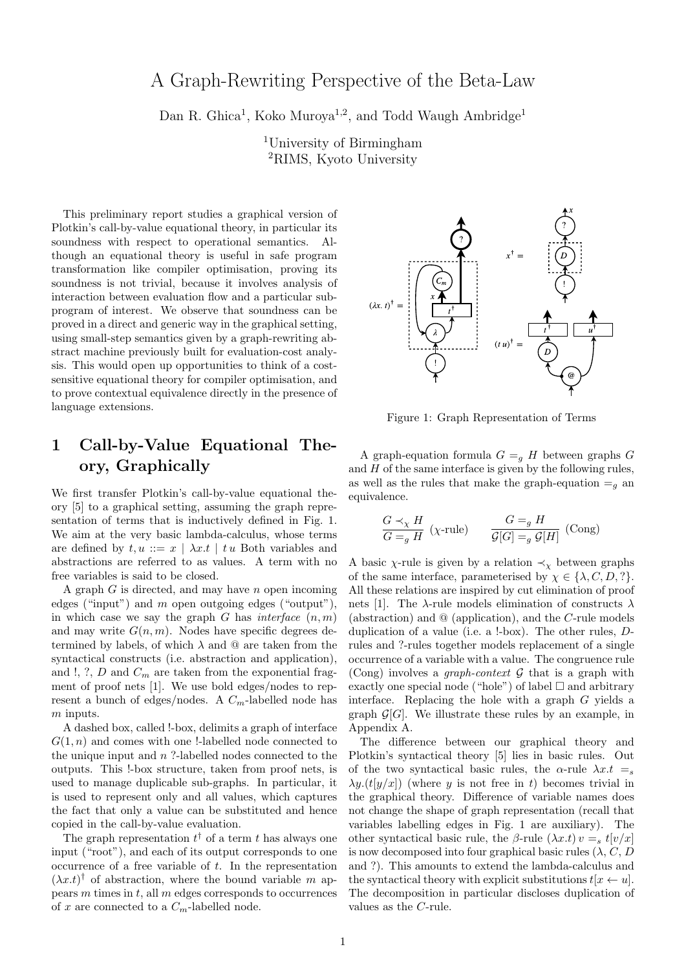# A Graph-Rewriting Perspective of the Beta-Law

Dan R. Ghica<sup>1</sup>, Koko Muroya<sup>1,2</sup>, and Todd Waugh Ambridge<sup>1</sup>

<sup>1</sup>University of Birmingham <sup>2</sup>RIMS, Kyoto University

This preliminary report studies a graphical version of Plotkin's call-by-value equational theory, in particular its soundness with respect to operational semantics. Although an equational theory is useful in safe program transformation like compiler optimisation, proving its soundness is not trivial, because it involves analysis of interaction between evaluation flow and a particular subprogram of interest. We observe that soundness can be proved in a direct and generic way in the graphical setting, using small-step semantics given by a graph-rewriting abstract machine previously built for evaluation-cost analysis. This would open up opportunities to think of a costsensitive equational theory for compiler optimisation, and to prove contextual equivalence directly in the presence of language extensions.

# 1 Call-by-Value Equational Theory, Graphically

We first transfer Plotkin's call-by-value equational theory [5] to a graphical setting, assuming the graph representation of terms that is inductively defined in Fig. 1. We aim at the very basic lambda-calculus, whose terms are defined by  $t, u ::= x \mid \lambda x.t \mid tu$  Both variables and abstractions are referred to as values. A term with no free variables is said to be closed.

A graph  $G$  is directed, and may have  $n$  open incoming edges ("input") and  $m$  open outgoing edges ("output"), in which case we say the graph G has interface  $(n, m)$ and may write  $G(n, m)$ . Nodes have specific degrees determined by labels, of which  $\lambda$  and  $\omega$  are taken from the syntactical constructs (i.e. abstraction and application), and !, ?,  $D$  and  $C_m$  are taken from the exponential fragment of proof nets [1]. We use bold edges/nodes to represent a bunch of edges/nodes. A  $C_m$ -labelled node has m inputs.

A dashed box, called !-box, delimits a graph of interface  $G(1, n)$  and comes with one !-labelled node connected to the unique input and  $n$  ?-labelled nodes connected to the outputs. This !-box structure, taken from proof nets, is used to manage duplicable sub-graphs. In particular, it is used to represent only and all values, which captures the fact that only a value can be substituted and hence copied in the call-by-value evaluation.

The graph representation  $t^{\dagger}$  of a term t has always one input ("root"), and each of its output corresponds to one occurrence of a free variable of t. In the representation  $(\lambda x.t)^{\dagger}$  of abstraction, where the bound variable m appears  $m$  times in  $t$ , all  $m$  edges corresponds to occurrences of x are connected to a  $C_m$ -labelled node.



Figure 1: Graph Representation of Terms

A graph-equation formula  $G = g$  H between graphs G and  $H$  of the same interface is given by the following rules, as well as the rules that make the graph-equation  $=_q$  and equivalence.

$$
\frac{G \prec_{\chi} H}{G = g H} \text{ (\chi-rule)} \qquad \frac{G = g H}{\mathcal{G}[G] = g \mathcal{G}[H]} \text{ (Cong)}
$$

A basic  $\chi$ -rule is given by a relation  $\prec_{\chi}$  between graphs of the same interface, parameterised by  $\chi \in \{\lambda, C, D, ?\}.$ All these relations are inspired by cut elimination of proof nets [1]. The  $\lambda$ -rule models elimination of constructs  $\lambda$ (abstraction) and @ (application), and the C-rule models duplication of a value (i.e. a !-box). The other rules, Drules and ?-rules together models replacement of a single occurrence of a variable with a value. The congruence rule (Cong) involves a *graph-context*  $G$  that is a graph with exactly one special node ("hole") of label  $\Box$  and arbitrary interface. Replacing the hole with a graph G yields a graph  $\mathcal{G}[G]$ . We illustrate these rules by an example, in Appendix A.

The difference between our graphical theory and Plotkin's syntactical theory [5] lies in basic rules. Out of the two syntactical basic rules, the  $\alpha$ -rule  $\lambda x.t = s$  $\lambda y.(t[y/x])$  (where y is not free in t) becomes trivial in the graphical theory. Difference of variable names does not change the shape of graph representation (recall that variables labelling edges in Fig. 1 are auxiliary). The other syntactical basic rule, the β-rule  $(\lambda x.t) v = t[v/x]$ is now decomposed into four graphical basic rules  $(\lambda, C, D)$ and ?). This amounts to extend the lambda-calculus and the syntactical theory with explicit substitutions  $t[x \leftarrow u]$ . The decomposition in particular discloses duplication of values as the C-rule.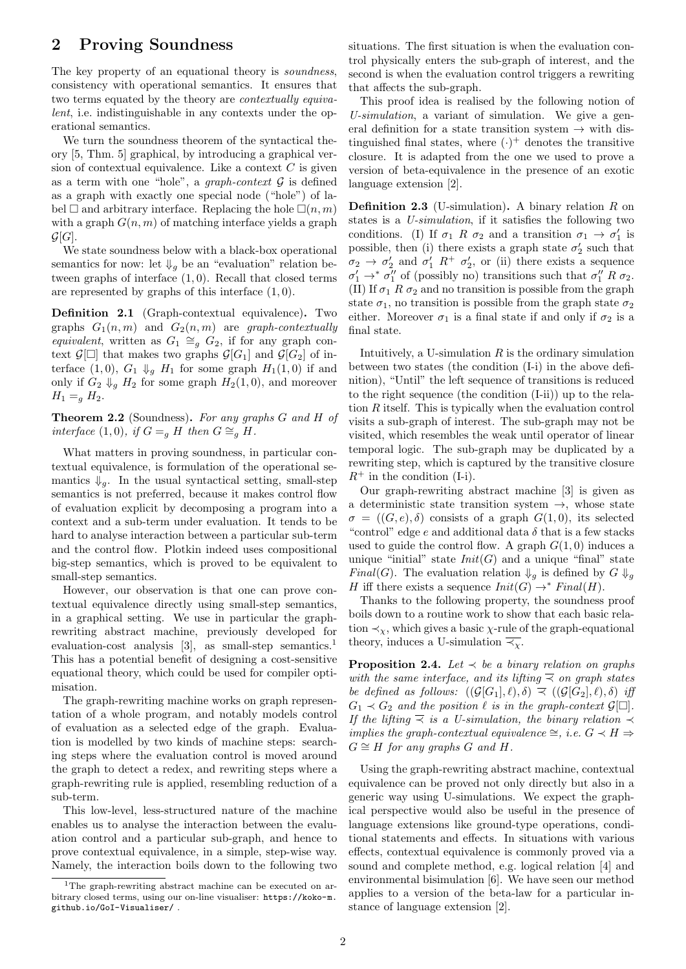#### 2 Proving Soundness

The key property of an equational theory is *soundness*. consistency with operational semantics. It ensures that two terms equated by the theory are contextually equivalent, i.e. indistinguishable in any contexts under the operational semantics.

We turn the soundness theorem of the syntactical theory [5, Thm. 5] graphical, by introducing a graphical version of contextual equivalence. Like a context  $C$  is given as a term with one "hole", a graph-context  $\mathcal G$  is defined as a graph with exactly one special node ("hole") of label  $\Box$  and arbitrary interface. Replacing the hole  $\Box(n, m)$ with a graph  $G(n, m)$  of matching interface yields a graph  $\mathcal{G}[G].$ 

We state soundness below with a black-box operational semantics for now: let  $\downarrow_g$  be an "evaluation" relation between graphs of interface  $(1, 0)$ . Recall that closed terms are represented by graphs of this interface  $(1, 0)$ .

Definition 2.1 (Graph-contextual equivalence). Two graphs  $G_1(n,m)$  and  $G_2(n,m)$  are graph-contextually equivalent, written as  $G_1 \cong_g G_2$ , if for any graph context  $\mathcal{G}[\Box]$  that makes two graphs  $\mathcal{G}[G_1]$  and  $\mathcal{G}[G_2]$  of interface  $(1,0)$ ,  $G_1 \downarrow_q H_1$  for some graph  $H_1(1,0)$  if and only if  $G_2 \downarrow_q H_2$  for some graph  $H_2(1,0)$ , and moreover  $H_1 =_q H_2$ .

Theorem 2.2 (Soundness). For any graphs G and H of interface (1,0), if  $G = q$  H then  $G \cong q$  H.

What matters in proving soundness, in particular contextual equivalence, is formulation of the operational semantics  $\downarrow_a$ . In the usual syntactical setting, small-step semantics is not preferred, because it makes control flow of evaluation explicit by decomposing a program into a context and a sub-term under evaluation. It tends to be hard to analyse interaction between a particular sub-term and the control flow. Plotkin indeed uses compositional big-step semantics, which is proved to be equivalent to small-step semantics.

However, our observation is that one can prove contextual equivalence directly using small-step semantics, in a graphical setting. We use in particular the graphrewriting abstract machine, previously developed for evaluation-cost analysis [3], as small-step semantics.<sup>1</sup> This has a potential benefit of designing a cost-sensitive equational theory, which could be used for compiler optimisation.

The graph-rewriting machine works on graph representation of a whole program, and notably models control of evaluation as a selected edge of the graph. Evaluation is modelled by two kinds of machine steps: searching steps where the evaluation control is moved around the graph to detect a redex, and rewriting steps where a graph-rewriting rule is applied, resembling reduction of a sub-term.

This low-level, less-structured nature of the machine enables us to analyse the interaction between the evaluation control and a particular sub-graph, and hence to prove contextual equivalence, in a simple, step-wise way. Namely, the interaction boils down to the following two

situations. The first situation is when the evaluation control physically enters the sub-graph of interest, and the second is when the evaluation control triggers a rewriting that affects the sub-graph.

This proof idea is realised by the following notion of U-simulation, a variant of simulation. We give a general definition for a state transition system  $\rightarrow$  with distinguished final states, where  $(\cdot)^+$  denotes the transitive closure. It is adapted from the one we used to prove a version of beta-equivalence in the presence of an exotic language extension [2].

**Definition 2.3** (U-simulation). A binary relation  $R$  on states is a U-simulation, if it satisfies the following two conditions. (I) If  $\sigma_1$  R  $\sigma_2$  and a transition  $\sigma_1 \rightarrow \sigma_1'$  is possible, then (i) there exists a graph state  $\sigma'_2$  such that  $\sigma_2 \rightarrow \sigma_2'$  and  $\sigma_1'$   $R^+$   $\sigma_2'$ , or (ii) there exists a sequence  $\sigma'_1 \rightarrow^* \sigma''_1$  of (possibly no) transitions such that  $\sigma''_1$  R  $\sigma_2$ . (II) If  $\sigma_1$  R  $\sigma_2$  and no transition is possible from the graph state  $\sigma_1$ , no transition is possible from the graph state  $\sigma_2$ either. Moreover  $\sigma_1$  is a final state if and only if  $\sigma_2$  is a final state.

Intuitively, a U-simulation  $R$  is the ordinary simulation between two states (the condition (I-i) in the above definition), "Until" the left sequence of transitions is reduced to the right sequence (the condition (I-ii)) up to the relation  $R$  itself. This is typically when the evaluation control visits a sub-graph of interest. The sub-graph may not be visited, which resembles the weak until operator of linear temporal logic. The sub-graph may be duplicated by a rewriting step, which is captured by the transitive closure  $R^+$  in the condition (I-i).

Our graph-rewriting abstract machine [3] is given as a deterministic state transition system  $\rightarrow$ , whose state  $\sigma = ((G, e), \delta)$  consists of a graph  $G(1, 0)$ , its selected "control" edge e and additional data  $\delta$  that is a few stacks used to guide the control flow. A graph  $G(1,0)$  induces a unique "initial" state  $Init(G)$  and a unique "final" state *Final*(*G*). The evaluation relation  $\downarrow_g$  is defined by  $G \downarrow_g$ H iff there exists a sequence  $Init(G) \rightarrow^* Final(H)$ .

Thanks to the following property, the soundness proof boils down to a routine work to show that each basic relation  $\prec_{\gamma}$ , which gives a basic  $\chi$ -rule of the graph-equational theory, induces a U-simulation  $\overline{\prec_{\chi}}$ .

**Proposition 2.4.** Let  $\prec$  be a binary relation on graphs with the same interface, and its lifting  $\overline{\prec}$  on graph states be defined as follows:  $((\mathcal{G}[G_1], \ell), \delta) \nsubseteq ((\mathcal{G}[G_2], \ell), \delta)$  iff  $G_1 \prec G_2$  and the position  $\ell$  is in the graph-context  $\mathcal{G}[\Box].$ If the lifting  $\overline{\prec}$  is a U-simulation, the binary relation  $\prec$ implies the graph-contextual equivalence  $\cong$ , i.e.  $G \prec H \Rightarrow$  $G \cong H$  for any graphs G and H.

Using the graph-rewriting abstract machine, contextual equivalence can be proved not only directly but also in a generic way using U-simulations. We expect the graphical perspective would also be useful in the presence of language extensions like ground-type operations, conditional statements and effects. In situations with various effects, contextual equivalence is commonly proved via a sound and complete method, e.g. logical relation [4] and environmental bisimulation [6]. We have seen our method applies to a version of the beta-law for a particular instance of language extension [2].

<sup>&</sup>lt;sup>1</sup>The graph-rewriting abstract machine can be executed on arbitrary closed terms, using our on-line visualiser: https://koko-m. github.io/GoI-Visualiser/ .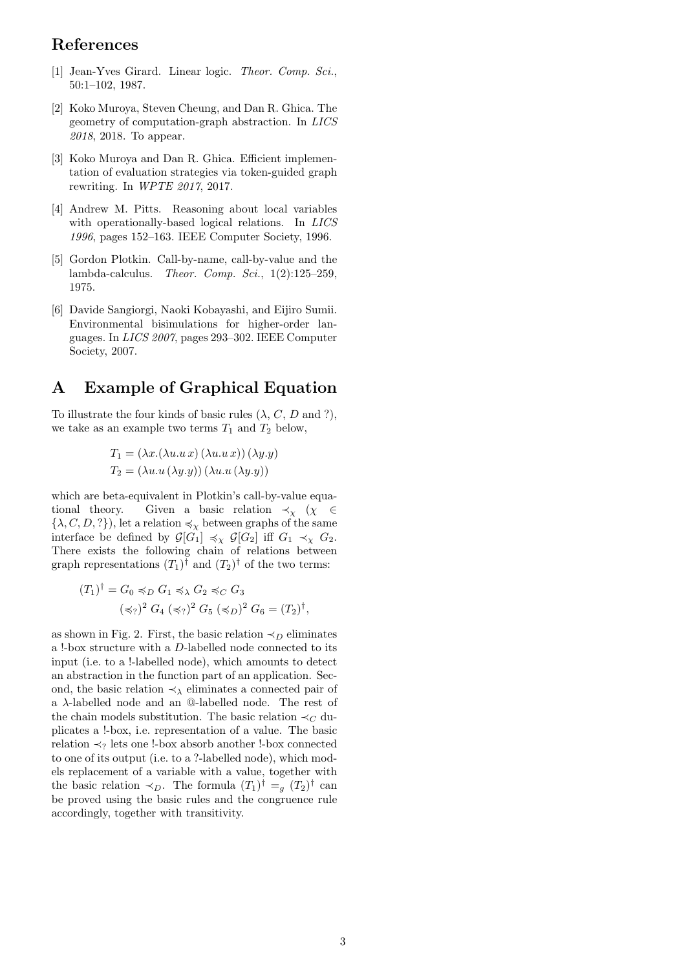### References

- [1] Jean-Yves Girard. Linear logic. Theor. Comp. Sci., 50:1–102, 1987.
- [2] Koko Muroya, Steven Cheung, and Dan R. Ghica. The geometry of computation-graph abstraction. In LICS 2018, 2018. To appear.
- [3] Koko Muroya and Dan R. Ghica. Efficient implementation of evaluation strategies via token-guided graph rewriting. In WPTE 2017, 2017.
- [4] Andrew M. Pitts. Reasoning about local variables with operationally-based logical relations. In LICS 1996, pages 152–163. IEEE Computer Society, 1996.
- [5] Gordon Plotkin. Call-by-name, call-by-value and the lambda-calculus. Theor. Comp. Sci., 1(2):125–259, 1975.
- [6] Davide Sangiorgi, Naoki Kobayashi, and Eijiro Sumii. Environmental bisimulations for higher-order languages. In LICS 2007, pages 293–302. IEEE Computer Society, 2007.

## A Example of Graphical Equation

To illustrate the four kinds of basic rules  $(\lambda, C, D \text{ and } ?)$ , we take as an example two terms  $T_1$  and  $T_2$  below,

$$
T_1 = (\lambda x.(\lambda u. u x) (\lambda u. u x)) (\lambda y. y)
$$
  
\n
$$
T_2 = (\lambda u. u (\lambda y. y)) (\lambda u. u (\lambda y. y))
$$

which are beta-equivalent in Plotkin's call-by-value equational theory. Given a basic relation  $\prec_{\chi} (\chi \in$  $\{\lambda, C, D, ?\}$ , let a relation  $\preccurlyeq_{\chi}$  between graphs of the same interface be defined by  $\mathcal{G}[G_1] \preccurlyeq_X \mathcal{G}[G_2]$  iff  $G_1 \prec_X G_2$ . There exists the following chain of relations between graph representations  $(T_1)^\dagger$  and  $(T_2)^\dagger$  of the two terms:

$$
(T_1)^{\dagger} = G_0 \preccurlyeq_D G_1 \preccurlyeq_{\lambda} G_2 \preccurlyeq_C G_3
$$

$$
(\preccurlyeq_?)^2 G_4 \ (\preccurlyeq_?)^2 G_5 \ (\preccurlyeq_D)^2 G_6 = (T_2)^{\dagger},
$$

as shown in Fig. 2. First, the basic relation  $\prec_D$  eliminates a !-box structure with a D-labelled node connected to its input (i.e. to a !-labelled node), which amounts to detect an abstraction in the function part of an application. Second, the basic relation  $\prec_{\lambda}$  eliminates a connected pair of a  $\lambda$ -labelled node and an @-labelled node. The rest of the chain models substitution. The basic relation  $\prec_C$  duplicates a !-box, i.e. representation of a value. The basic relation  $\prec$ ? lets one !-box absorb another !-box connected to one of its output (i.e. to a ?-labelled node), which models replacement of a variable with a value, together with the basic relation  $\prec_D$ . The formula  $(T_1)^\dagger =_g (T_2)^\dagger$  can be proved using the basic rules and the congruence rule accordingly, together with transitivity.